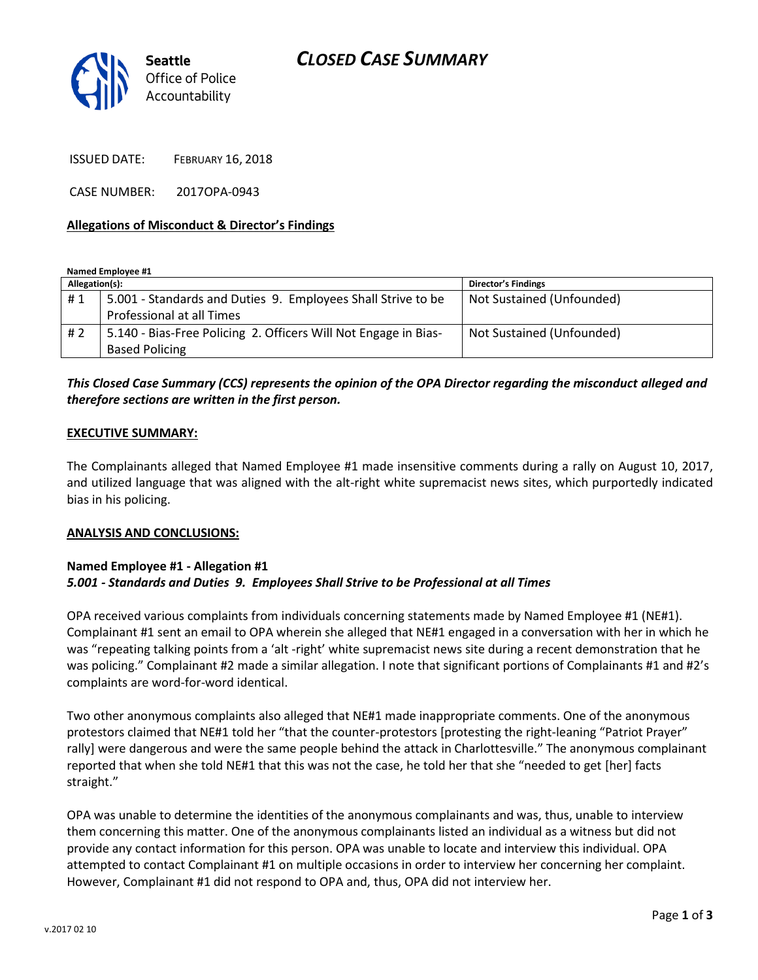

ISSUED DATE: FEBRUARY 16, 2018

CASE NUMBER: 2017OPA-0943

### **Allegations of Misconduct & Director's Findings**

**Named Employee #1**

| Allegation(s): |                                                                 | Director's Findings       |
|----------------|-----------------------------------------------------------------|---------------------------|
| #1             | 5.001 - Standards and Duties 9. Employees Shall Strive to be    | Not Sustained (Unfounded) |
|                | Professional at all Times                                       |                           |
| #2             | 5.140 - Bias-Free Policing 2. Officers Will Not Engage in Bias- | Not Sustained (Unfounded) |
|                | <b>Based Policing</b>                                           |                           |

## *This Closed Case Summary (CCS) represents the opinion of the OPA Director regarding the misconduct alleged and therefore sections are written in the first person.*

#### **EXECUTIVE SUMMARY:**

The Complainants alleged that Named Employee #1 made insensitive comments during a rally on August 10, 2017, and utilized language that was aligned with the alt-right white supremacist news sites, which purportedly indicated bias in his policing.

#### **ANALYSIS AND CONCLUSIONS:**

### **Named Employee #1 - Allegation #1** *5.001 - Standards and Duties 9. Employees Shall Strive to be Professional at all Times*

OPA received various complaints from individuals concerning statements made by Named Employee #1 (NE#1). Complainant #1 sent an email to OPA wherein she alleged that NE#1 engaged in a conversation with her in which he was "repeating talking points from a 'alt -right' white supremacist news site during a recent demonstration that he was policing." Complainant #2 made a similar allegation. I note that significant portions of Complainants #1 and #2's complaints are word-for-word identical.

Two other anonymous complaints also alleged that NE#1 made inappropriate comments. One of the anonymous protestors claimed that NE#1 told her "that the counter-protestors [protesting the right-leaning "Patriot Prayer" rally] were dangerous and were the same people behind the attack in Charlottesville." The anonymous complainant reported that when she told NE#1 that this was not the case, he told her that she "needed to get [her] facts straight."

OPA was unable to determine the identities of the anonymous complainants and was, thus, unable to interview them concerning this matter. One of the anonymous complainants listed an individual as a witness but did not provide any contact information for this person. OPA was unable to locate and interview this individual. OPA attempted to contact Complainant #1 on multiple occasions in order to interview her concerning her complaint. However, Complainant #1 did not respond to OPA and, thus, OPA did not interview her.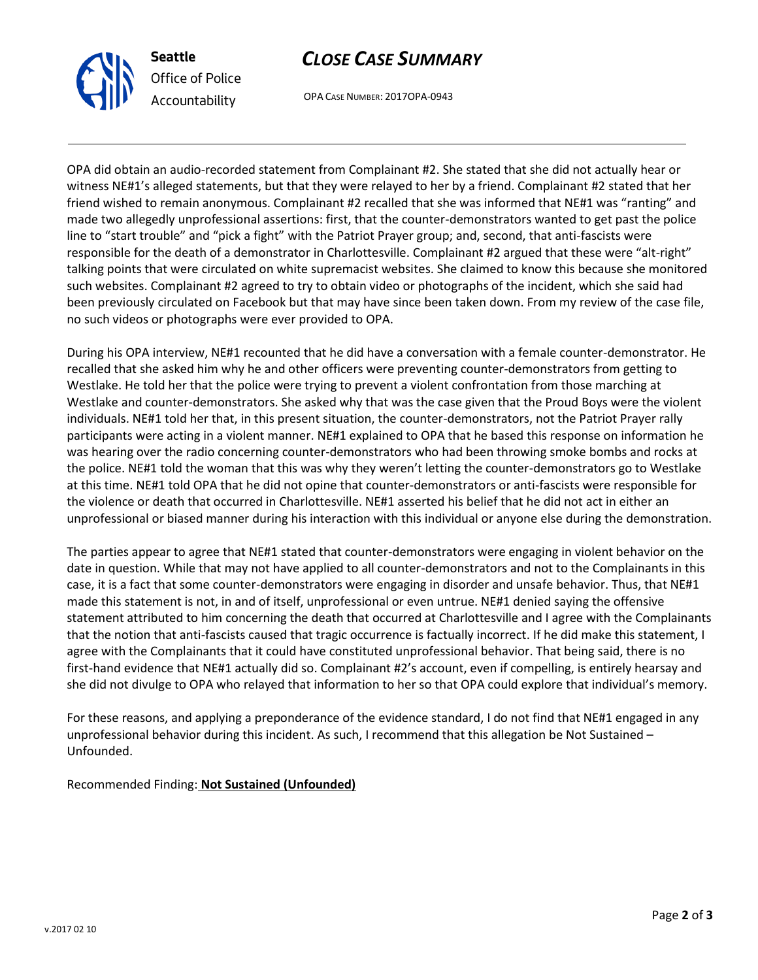

# *CLOSE CASE SUMMARY*

OPA CASE NUMBER: 2017OPA-0943

OPA did obtain an audio-recorded statement from Complainant #2. She stated that she did not actually hear or witness NE#1's alleged statements, but that they were relayed to her by a friend. Complainant #2 stated that her friend wished to remain anonymous. Complainant #2 recalled that she was informed that NE#1 was "ranting" and made two allegedly unprofessional assertions: first, that the counter-demonstrators wanted to get past the police line to "start trouble" and "pick a fight" with the Patriot Prayer group; and, second, that anti-fascists were responsible for the death of a demonstrator in Charlottesville. Complainant #2 argued that these were "alt-right" talking points that were circulated on white supremacist websites. She claimed to know this because she monitored such websites. Complainant #2 agreed to try to obtain video or photographs of the incident, which she said had been previously circulated on Facebook but that may have since been taken down. From my review of the case file, no such videos or photographs were ever provided to OPA.

During his OPA interview, NE#1 recounted that he did have a conversation with a female counter-demonstrator. He recalled that she asked him why he and other officers were preventing counter-demonstrators from getting to Westlake. He told her that the police were trying to prevent a violent confrontation from those marching at Westlake and counter-demonstrators. She asked why that was the case given that the Proud Boys were the violent individuals. NE#1 told her that, in this present situation, the counter-demonstrators, not the Patriot Prayer rally participants were acting in a violent manner. NE#1 explained to OPA that he based this response on information he was hearing over the radio concerning counter-demonstrators who had been throwing smoke bombs and rocks at the police. NE#1 told the woman that this was why they weren't letting the counter-demonstrators go to Westlake at this time. NE#1 told OPA that he did not opine that counter-demonstrators or anti-fascists were responsible for the violence or death that occurred in Charlottesville. NE#1 asserted his belief that he did not act in either an unprofessional or biased manner during his interaction with this individual or anyone else during the demonstration.

The parties appear to agree that NE#1 stated that counter-demonstrators were engaging in violent behavior on the date in question. While that may not have applied to all counter-demonstrators and not to the Complainants in this case, it is a fact that some counter-demonstrators were engaging in disorder and unsafe behavior. Thus, that NE#1 made this statement is not, in and of itself, unprofessional or even untrue. NE#1 denied saying the offensive statement attributed to him concerning the death that occurred at Charlottesville and I agree with the Complainants that the notion that anti-fascists caused that tragic occurrence is factually incorrect. If he did make this statement, I agree with the Complainants that it could have constituted unprofessional behavior. That being said, there is no first-hand evidence that NE#1 actually did so. Complainant #2's account, even if compelling, is entirely hearsay and she did not divulge to OPA who relayed that information to her so that OPA could explore that individual's memory.

For these reasons, and applying a preponderance of the evidence standard, I do not find that NE#1 engaged in any unprofessional behavior during this incident. As such, I recommend that this allegation be Not Sustained – Unfounded.

Recommended Finding: **Not Sustained (Unfounded)**